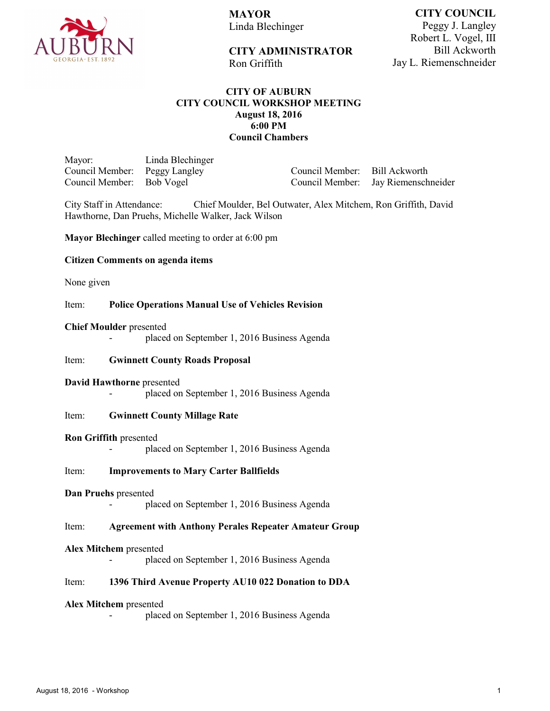

**MAYOR** Linda Blechinger

**CITY COUNCIL** Peggy J. Langley Robert L. Vogel, III Bill Ackworth Jay L. Riemenschneider

# **CITY ADMINISTRATOR**

Ron Griffith

# **CITY OF AUBURN CITY COUNCIL WORKSHOP MEETING August 18, 2016 6:00 PM Council Chambers**

Mayor: Linda Blechinger Council Member: Peggy Langley<br>Council Member: Bob Vogel Council Member:

Council Member: Bill Ackworth Jay Riemenschneider

City Staff in Attendance: Chief Moulder, Bel Outwater, Alex Mitchem, Ron Griffith, David Hawthorne, Dan Pruehs, Michelle Walker, Jack Wilson

**Mayor Blechinger** called meeting to order at 6:00 pm

## **Citizen Comments on agenda items**

None given

## Item: **Police Operations Manual Use of Vehicles Revision**

#### **Chief Moulder** presented

placed on September 1, 2016 Business Agenda

## Item: **Gwinnett County Roads Proposal**

## **David Hawthorne** presented

placed on September 1, 2016 Business Agenda

## Item: **Gwinnett County Millage Rate**

## **Ron Griffith** presented

placed on September 1, 2016 Business Agenda

## Item: **Improvements to Mary Carter Ballfields**

#### **Dan Pruehs** presented

placed on September 1, 2016 Business Agenda

## Item: **Agreement with Anthony Perales Repeater Amateur Group**

#### **Alex Mitchem** presented

placed on September 1, 2016 Business Agenda

## Item: **1396 Third Avenue Property AU10 022 Donation to DDA**

#### **Alex Mitchem** presented

placed on September 1, 2016 Business Agenda